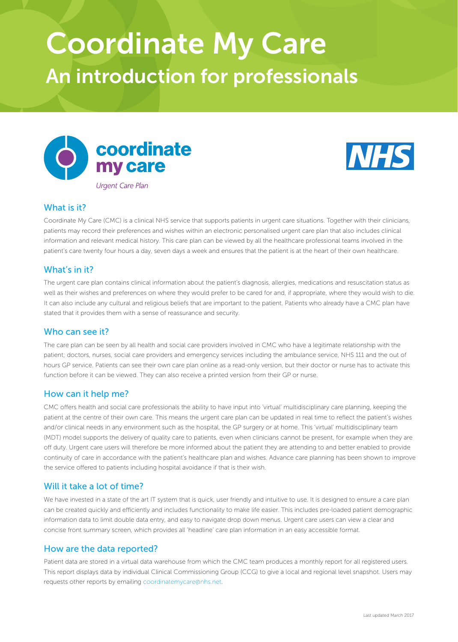# Coordinate My Care An introduction for professionals





#### What is it?

Coordinate My Care (CMC) is a clinical NHS service that supports patients in urgent care situations. Together with their clinicians, patients may record their preferences and wishes within an electronic personalised urgent care plan that also includes clinical information and relevant medical history. This care plan can be viewed by all the healthcare professional teams involved in the patient's care twenty four hours a day, seven days a week and ensures that the patient is at the heart of their own healthcare.

## What's in it?

The urgent care plan contains clinical information about the patient's diagnosis, allergies, medications and resuscitation status as well as their wishes and preferences on where they would prefer to be cared for and, if appropriate, where they would wish to die. It can also include any cultural and religious beliefs that are important to the patient. Patients who already have a CMC plan have stated that it provides them with a sense of reassurance and security.

#### Who can see it?

The care plan can be seen by all health and social care providers involved in CMC who have a legitimate relationship with the patient; doctors, nurses, social care providers and emergency services including the ambulance service, NHS 111 and the out of hours GP service. Patients can see their own care plan online as a read-only version, but their doctor or nurse has to activate this function before it can be viewed. They can also receive a printed version from their GP or nurse.

### How can it help me?

CMC offers health and social care professionals the ability to have input into 'virtual' multidisciplinary care planning, keeping the patient at the centre of their own care. This means the urgent care plan can be updated in real time to reflect the patient's wishes and/or clinical needs in any environment such as the hospital, the GP surgery or at home. This 'virtual' multidisciplinary team (MDT) model supports the delivery of quality care to patients, even when clinicians cannot be present, for example when they are off duty. Urgent care users will therefore be more informed about the patient they are attending to and better enabled to provide continuity of care in accordance with the patient's healthcare plan and wishes. Advance care planning has been shown to improve the service offered to patients including hospital avoidance if that is their wish.

# Will it take a lot of time?

We have invested in a state of the art IT system that is quick, user friendly and intuitive to use. It is designed to ensure a care plan can be created quickly and efficiently and includes functionality to make life easier. This includes pre-loaded patient demographic information data to limit double data entry, and easy to navigate drop down menus. Urgent care users can view a clear and concise front summary screen, which provides all 'headline' care plan information in an easy accessible format.

#### How are the data reported?

Patient data are stored in a virtual data warehouse from which the CMC team produces a monthly report for all registered users. This report displays data by individual Clinical Commissioning Group (CCG) to give a local and regional level snapshot. Users may requests other reports by emailing coordinatemycare@nhs.net.